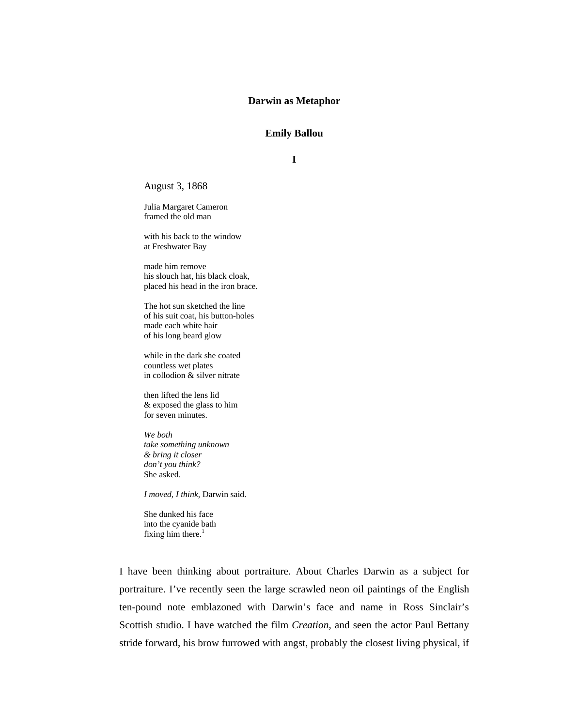# **Darwin as Metaphor**

# **Emily Ballou**

**I** 

August 3, 1868

Julia Margaret Cameron framed the old man

with his back to the window at Freshwater Bay

made him remove his slouch hat, his black cloak, placed his head in the iron brace.

The hot sun sketched the line of his suit coat, his button-holes made each white hair of his long beard glow

while in the dark she coated countless wet plates in collodion  $\&$  silver nitrate

then lifted the lens lid & exposed the glass to him for seven minutes.

*We both take something unknown & bring it closer don't you think?*  She asked.

*I moved, I think,* Darwin said.

She dunked his face into the cyanide bath fixing him there. $1$ 

I have been thinking about portraiture. About Charles Darwin as a subject for portraiture. I've recently seen the large scrawled neon oil paintings of the English ten-pound note emblazoned with Darwin's face and name in Ross Sinclair's Scottish studio. I have watched the film *Creation*, and seen the actor Paul Bettany stride forward, his brow furrowed with angst, probably the closest living physical, if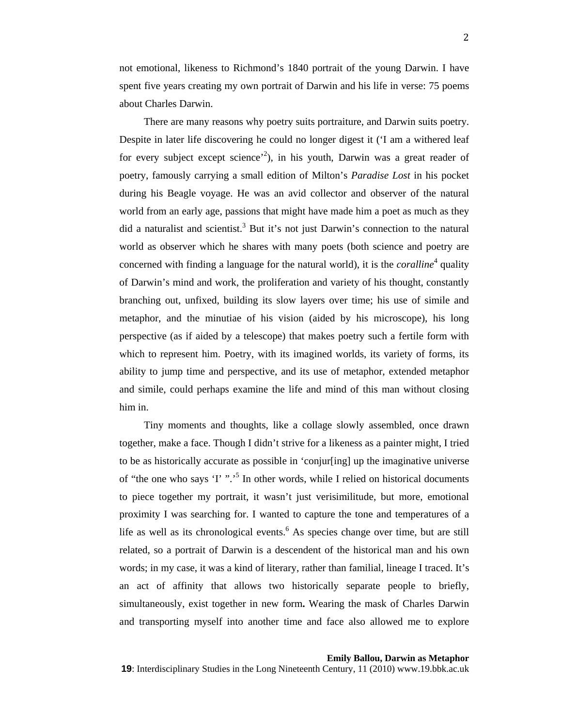not emotional, likeness to Richmond's 1840 portrait of the young Darwin. I have spent five years creating my own portrait of Darwin and his life in verse: 75 poems about Charles Darwin.

There are many reasons why poetry suits portraiture, and Darwin suits poetry. Despite in later life discovering he could no longer digest it ('I am a withered leaf for every subject except science<sup>2</sup>), in his youth, Darwin was a great reader of poetry, famously carrying a small edition of Milton's *Paradise Lost* in his pocket during his Beagle voyage. He was an avid collector and observer of the natural world from an early age, passions that might have made him a poet as much as they did a naturalist and scientist.<sup>3</sup> But it's not just Darwin's connection to the natural world as observer which he shares with many poets (both science and poetry are concerned with finding a language for the natural world), it is the *coralline*<sup>4</sup> quality of Darwin's mind and work, the proliferation and variety of his thought, constantly branching out, unfixed, building its slow layers over time; his use of simile and metaphor, and the minutiae of his vision (aided by his microscope), his long perspective (as if aided by a telescope) that makes poetry such a fertile form with which to represent him. Poetry, with its imagined worlds, its variety of forms, its ability to jump time and perspective, and its use of metaphor, extended metaphor and simile, could perhaps examine the life and mind of this man without closing him in.

Tiny moments and thoughts, like a collage slowly assembled, once drawn together, make a face. Though I didn't strive for a likeness as a painter might, I tried to be as historically accurate as possible in 'conjur[ing] up the imaginative universe of "the one who says 'I' ".'5 In other words, while I relied on historical documents to piece together my portrait, it wasn't just verisimilitude, but more, emotional proximity I was searching for. I wanted to capture the tone and temperatures of a life as well as its chronological events.<sup>6</sup> As species change over time, but are still related, so a portrait of Darwin is a descendent of the historical man and his own words; in my case, it was a kind of literary, rather than familial, lineage I traced. It's an act of affinity that allows two historically separate people to briefly, simultaneously, exist together in new form**.** Wearing the mask of Charles Darwin and transporting myself into another time and face also allowed me to explore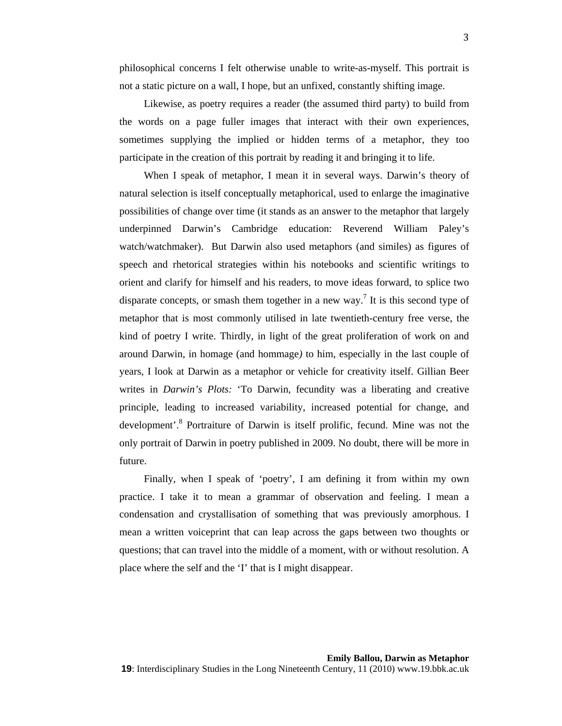philosophical concerns I felt otherwise unable to write-as-myself. This portrait is not a static picture on a wall, I hope, but an unfixed, constantly shifting image.

Likewise, as poetry requires a reader (the assumed third party) to build from the words on a page fuller images that interact with their own experiences, sometimes supplying the implied or hidden terms of a metaphor, they too participate in the creation of this portrait by reading it and bringing it to life.

When I speak of metaphor, I mean it in several ways. Darwin's theory of natural selection is itself conceptually metaphorical, used to enlarge the imaginative possibilities of change over time (it stands as an answer to the metaphor that largely underpinned Darwin's Cambridge education: Reverend William Paley's watch/watchmaker). But Darwin also used metaphors (and similes) as figures of speech and rhetorical strategies within his notebooks and scientific writings to orient and clarify for himself and his readers, to move ideas forward, to splice two disparate concepts, or smash them together in a new way.<sup>7</sup> It is this second type of metaphor that is most commonly utilised in late twentieth-century free verse, the kind of poetry I write. Thirdly, in light of the great proliferation of work on and around Darwin, in homage (and hommage*)* to him, especially in the last couple of years, I look at Darwin as a metaphor or vehicle for creativity itself. Gillian Beer writes in *Darwin's Plots:* 'To Darwin, fecundity was a liberating and creative principle, leading to increased variability, increased potential for change, and development'.<sup>8</sup> Portraiture of Darwin is itself prolific, fecund. Mine was not the only portrait of Darwin in poetry published in 2009. No doubt, there will be more in future.

Finally, when I speak of 'poetry', I am defining it from within my own practice. I take it to mean a grammar of observation and feeling. I mean a condensation and crystallisation of something that was previously amorphous. I mean a written voiceprint that can leap across the gaps between two thoughts or questions; that can travel into the middle of a moment, with or without resolution. A place where the self and the 'I' that is I might disappear.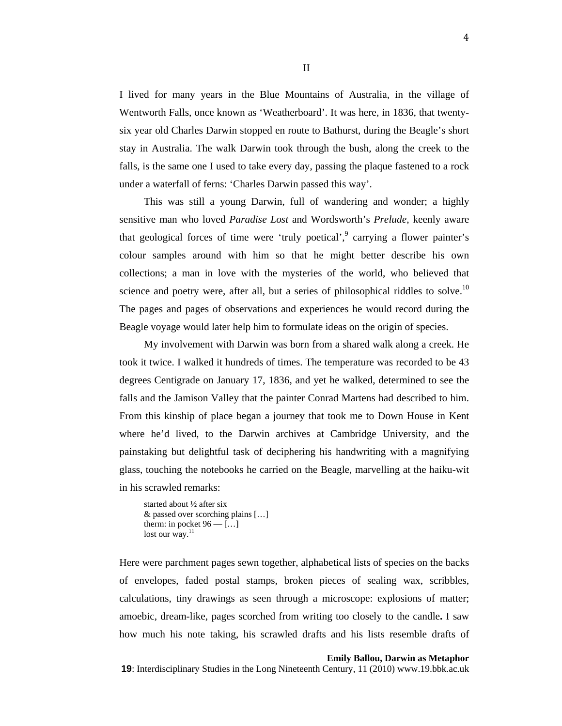I lived for many years in the Blue Mountains of Australia, in the village of Wentworth Falls, once known as 'Weatherboard'. It was here, in 1836, that twentysix year old Charles Darwin stopped en route to Bathurst, during the Beagle's short stay in Australia. The walk Darwin took through the bush, along the creek to the falls, is the same one I used to take every day, passing the plaque fastened to a rock under a waterfall of ferns: 'Charles Darwin passed this way'.

This was still a young Darwin, full of wandering and wonder; a highly sensitive man who loved *Paradise Lost* and Wordsworth's *Prelude*, keenly aware that geological forces of time were 'truly poetical',  $9$  carrying a flower painter's colour samples around with him so that he might better describe his own collections; a man in love with the mysteries of the world, who believed that science and poetry were, after all, but a series of philosophical riddles to solve.<sup>10</sup> The pages and pages of observations and experiences he would record during the Beagle voyage would later help him to formulate ideas on the origin of species.

My involvement with Darwin was born from a shared walk along a creek. He took it twice. I walked it hundreds of times. The temperature was recorded to be 43 degrees Centigrade on January 17, 1836, and yet he walked, determined to see the falls and the Jamison Valley that the painter Conrad Martens had described to him. From this kinship of place began a journey that took me to Down House in Kent where he'd lived, to the Darwin archives at Cambridge University, and the painstaking but delightful task of deciphering his handwriting with a magnifying glass, touching the notebooks he carried on the Beagle, marvelling at the haiku-wit in his scrawled remarks:

started about ½ after six & passed over scorching plains […] therm: in pocket  $96 - \ldots$ lost our way. $11$ 

Here were parchment pages sewn together, alphabetical lists of species on the backs of envelopes, faded postal stamps, broken pieces of sealing wax, scribbles, calculations, tiny drawings as seen through a microscope: explosions of matter; amoebic, dream-like, pages scorched from writing too closely to the candle**.** I saw how much his note taking, his scrawled drafts and his lists resemble drafts of

#### **Emily Ballou, Darwin as Metaphor**

**19**: Interdisciplinary Studies in the Long Nineteenth Century, 11 (2010) www.19.bbk.ac.uk

4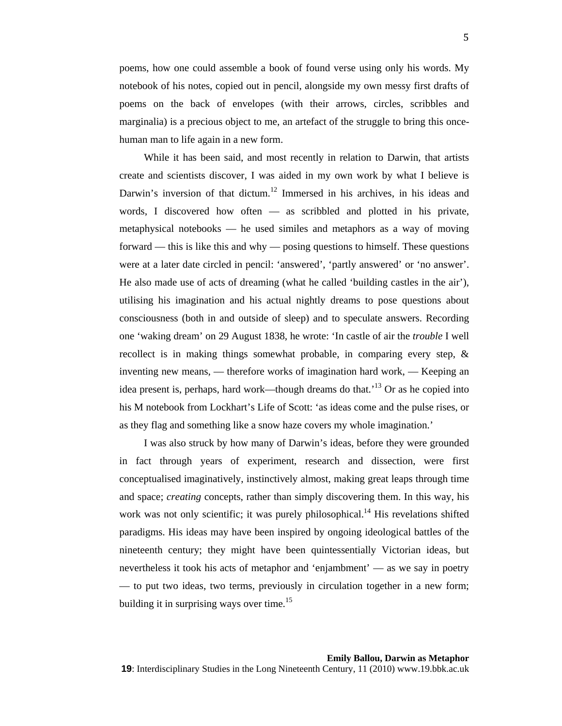poems, how one could assemble a book of found verse using only his words. My notebook of his notes, copied out in pencil, alongside my own messy first drafts of poems on the back of envelopes (with their arrows, circles, scribbles and marginalia) is a precious object to me, an artefact of the struggle to bring this oncehuman man to life again in a new form.

While it has been said, and most recently in relation to Darwin, that artists create and scientists discover, I was aided in my own work by what I believe is Darwin's inversion of that dictum.<sup>12</sup> Immersed in his archives, in his ideas and words, I discovered how often — as scribbled and plotted in his private, metaphysical notebooks — he used similes and metaphors as a way of moving forward — this is like this and why — posing questions to himself. These questions were at a later date circled in pencil: 'answered', 'partly answered' or 'no answer'. He also made use of acts of dreaming (what he called 'building castles in the air'), utilising his imagination and his actual nightly dreams to pose questions about consciousness (both in and outside of sleep) and to speculate answers. Recording one 'waking dream' on 29 August 1838, he wrote: 'In castle of air the *trouble* I well recollect is in making things somewhat probable, in comparing every step, & inventing new means, — therefore works of imagination hard work, — Keeping an idea present is, perhaps, hard work—though dreams do that.<sup>13</sup> Or as he copied into his M notebook from Lockhart's Life of Scott: 'as ideas come and the pulse rises, or as they flag and something like a snow haze covers my whole imagination.'

I was also struck by how many of Darwin's ideas, before they were grounded in fact through years of experiment, research and dissection, were first conceptualised imaginatively, instinctively almost, making great leaps through time and space; *creating* concepts, rather than simply discovering them. In this way, his work was not only scientific; it was purely philosophical.<sup>14</sup> His revelations shifted paradigms. His ideas may have been inspired by ongoing ideological battles of the nineteenth century; they might have been quintessentially Victorian ideas, but nevertheless it took his acts of metaphor and 'enjambment' — as we say in poetry — to put two ideas, two terms, previously in circulation together in a new form; building it in surprising ways over time.<sup>15</sup>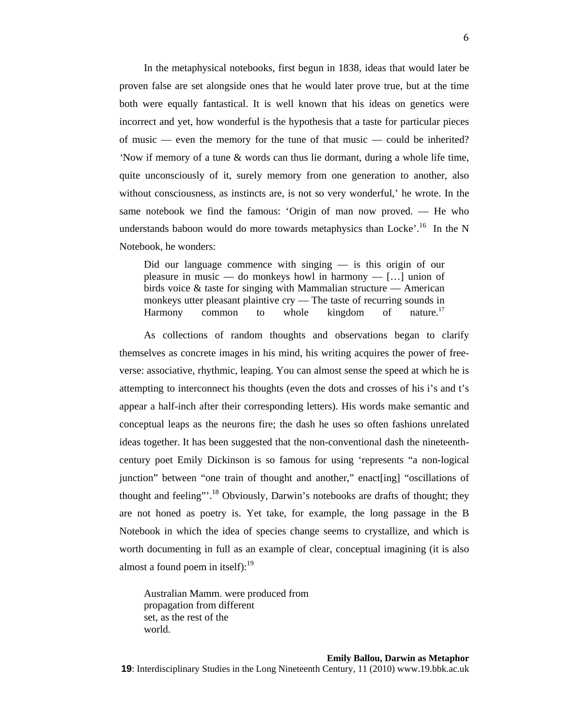In the metaphysical notebooks, first begun in 1838, ideas that would later be proven false are set alongside ones that he would later prove true, but at the time both were equally fantastical. It is well known that his ideas on genetics were incorrect and yet, how wonderful is the hypothesis that a taste for particular pieces of music — even the memory for the tune of that music — could be inherited? *'*Now if memory of a tune & words can thus lie dormant, during a whole life time, quite unconsciously of it, surely memory from one generation to another, also without consciousness, as instincts are, is not so very wonderful,' he wrote. In the same notebook we find the famous: 'Origin of man now proved. — He who understands baboon would do more towards metaphysics than Locke'.<sup>16</sup> In the N Notebook, he wonders:

Did our language commence with singing — is this origin of our pleasure in music — do monkeys howl in harmony —  $[...]$  union of birds voice & taste for singing with Mammalian structure — American monkeys utter pleasant plaintive cry — The taste of recurring sounds in Harmony common to whole kingdom of nature.<sup>17</sup>

As collections of random thoughts and observations began to clarify themselves as concrete images in his mind, his writing acquires the power of freeverse: associative, rhythmic, leaping. You can almost sense the speed at which he is attempting to interconnect his thoughts (even the dots and crosses of his i's and t's appear a half-inch after their corresponding letters). His words make semantic and conceptual leaps as the neurons fire; the dash he uses so often fashions unrelated ideas together. It has been suggested that the non-conventional dash the nineteenthcentury poet Emily Dickinson is so famous for using 'represents "a non-logical junction" between "one train of thought and another," enact[ing] "oscillations of thought and feeling"<sup>18</sup> Obviously, Darwin's notebooks are drafts of thought; they are not honed as poetry is. Yet take, for example, the long passage in the B Notebook in which the idea of species change seems to crystallize, and which is worth documenting in full as an example of clear, conceptual imagining (it is also almost a found poem in itself): $19$ 

Australian Mamm. were produced from propagation from different set, as the rest of the world.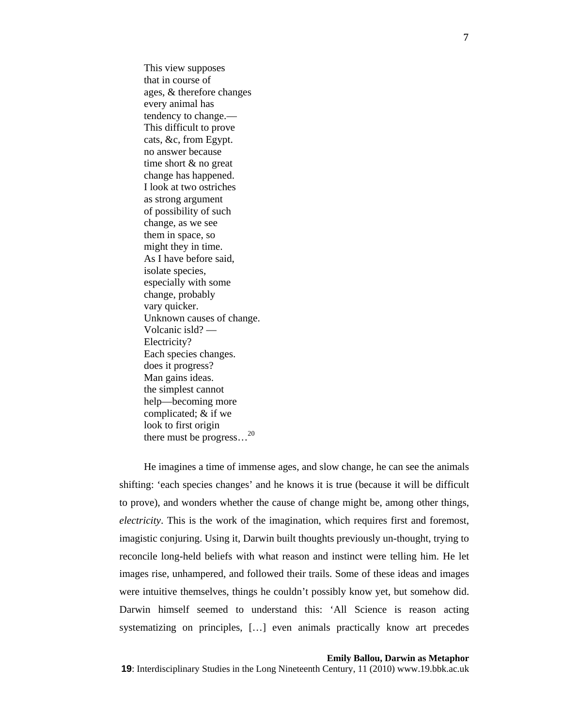This view supposes that in course of ages, & therefore changes every animal has tendency to change.— This difficult to prove cats, &c, from Egypt. no answer because time short & no great change has happened. I look at two ostriches as strong argument of possibility of such change, as we see them in space, so might they in time. As I have before said, isolate species, especially with some change, probably vary quicker. Unknown causes of change. Volcanic isld? — Electricity? Each species changes. does it progress? Man gains ideas. the simplest cannot help—becoming more complicated; & if we look to first origin there must be progress...<sup>20</sup>

He imagines a time of immense ages, and slow change, he can see the animals shifting: 'each species changes' and he knows it is true (because it will be difficult to prove), and wonders whether the cause of change might be, among other things, *electricity*. This is the work of the imagination, which requires first and foremost, imagistic conjuring. Using it, Darwin built thoughts previously un-thought, trying to reconcile long-held beliefs with what reason and instinct were telling him. He let images rise, unhampered, and followed their trails. Some of these ideas and images were intuitive themselves, things he couldn't possibly know yet, but somehow did. Darwin himself seemed to understand this: 'All Science is reason acting systematizing on principles, […] even animals practically know art precedes

## **Emily Ballou, Darwin as Metaphor**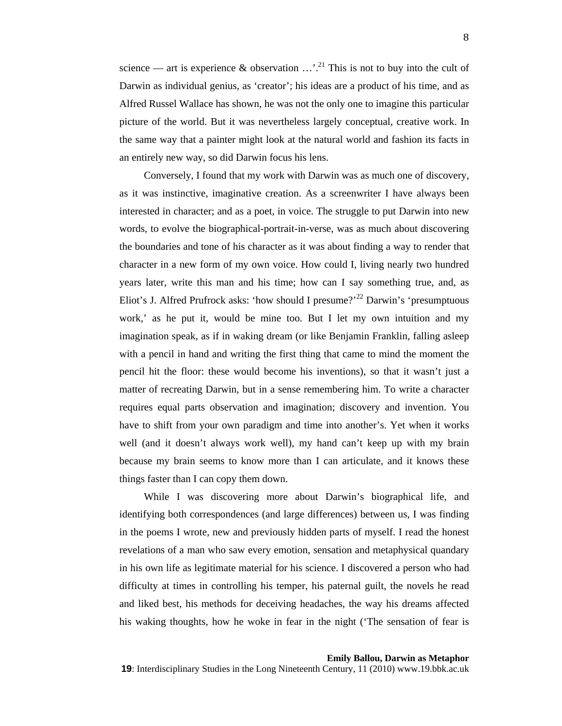science — art is experience & observation  $\ldots$ <sup>21</sup>. This is not to buy into the cult of Darwin as individual genius, as 'creator'; his ideas are a product of his time, and as Alfred Russel Wallace has shown, he was not the only one to imagine this particular picture of the world. But it was nevertheless largely conceptual, creative work. In the same way that a painter might look at the natural world and fashion its facts in an entirely new way, so did Darwin focus his lens.

Conversely, I found that my work with Darwin was as much one of discovery, as it was instinctive, imaginative creation. As a screenwriter I have always been interested in character; and as a poet, in voice. The struggle to put Darwin into new words, to evolve the biographical-portrait-in-verse, was as much about discovering the boundaries and tone of his character as it was about finding a way to render that character in a new form of my own voice. How could I, living nearly two hundred years later, write this man and his time; how can I say something true, and, as Eliot's J. Alfred Prufrock asks: 'how should I presume?'<sup>22</sup> Darwin's 'presumptuous' work,' as he put it, would be mine too. But I let my own intuition and my imagination speak, as if in waking dream (or like Benjamin Franklin, falling asleep with a pencil in hand and writing the first thing that came to mind the moment the pencil hit the floor: these would become his inventions), so that it wasn't just a matter of recreating Darwin, but in a sense remembering him. To write a character requires equal parts observation and imagination; discovery and invention. You have to shift from your own paradigm and time into another's. Yet when it works well (and it doesn't always work well), my hand can't keep up with my brain because my brain seems to know more than I can articulate, and it knows these things faster than I can copy them down.

While I was discovering more about Darwin's biographical life, and identifying both correspondences (and large differences) between us, I was finding in the poems I wrote, new and previously hidden parts of myself. I read the honest revelations of a man who saw every emotion, sensation and metaphysical quandary in his own life as legitimate material for his science. I discovered a person who had difficulty at times in controlling his temper, his paternal guilt, the novels he read and liked best, his methods for deceiving headaches, the way his dreams affected his waking thoughts, how he woke in fear in the night ('The sensation of fear is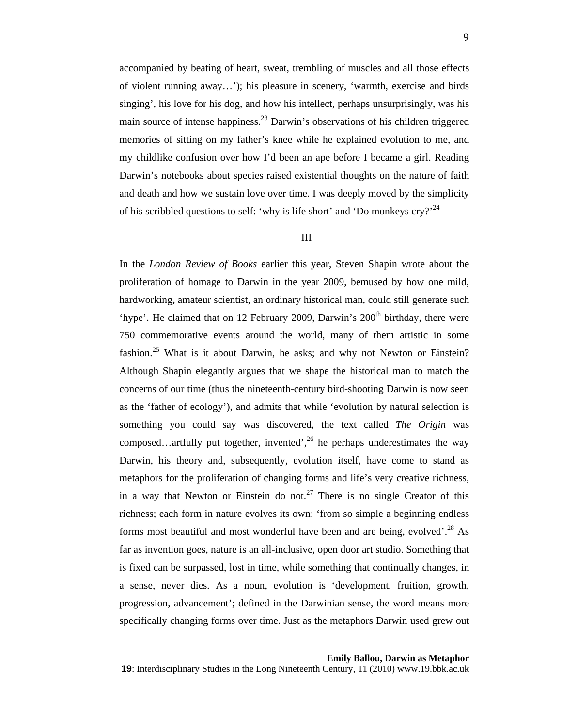accompanied by beating of heart, sweat, trembling of muscles and all those effects of violent running away…'); his pleasure in scenery, 'warmth, exercise and birds singing', his love for his dog, and how his intellect, perhaps unsurprisingly, was his main source of intense happiness.<sup>23</sup> Darwin's observations of his children triggered memories of sitting on my father's knee while he explained evolution to me, and my childlike confusion over how I'd been an ape before I became a girl. Reading Darwin's notebooks about species raised existential thoughts on the nature of faith and death and how we sustain love over time. I was deeply moved by the simplicity of his scribbled questions to self: 'why is life short' and 'Do monkeys  $\text{cry}$ ?'<sup>24</sup>

# III

In the *London Review of Books* earlier this year, Steven Shapin wrote about the proliferation of homage to Darwin in the year 2009, bemused by how one mild, hardworking**,** amateur scientist, an ordinary historical man, could still generate such 'hype'. He claimed that on 12 February 2009, Darwin's  $200<sup>th</sup>$  birthday, there were 750 commemorative events around the world, many of them artistic in some fashion.<sup>25</sup> What is it about Darwin, he asks; and why not Newton or Einstein? Although Shapin elegantly argues that we shape the historical man to match the concerns of our time (thus the nineteenth-century bird-shooting Darwin is now seen as the 'father of ecology'), and admits that while 'evolution by natural selection is something you could say was discovered, the text called *The Origin* was composed…artfully put together, invented',  $^{26}$  he perhaps underestimates the way Darwin, his theory and, subsequently, evolution itself, have come to stand as metaphors for the proliferation of changing forms and life's very creative richness, in a way that Newton or Einstein do not.<sup>27</sup> There is no single Creator of this richness; each form in nature evolves its own: 'from so simple a beginning endless forms most beautiful and most wonderful have been and are being, evolved'.<sup>28</sup> As far as invention goes, nature is an all-inclusive, open door art studio. Something that is fixed can be surpassed, lost in time, while something that continually changes, in a sense, never dies. As a noun, evolution is 'development, fruition, growth, progression, advancement'; defined in the Darwinian sense, the word means more specifically changing forms over time. Just as the metaphors Darwin used grew out

**Emily Ballou, Darwin as Metaphor**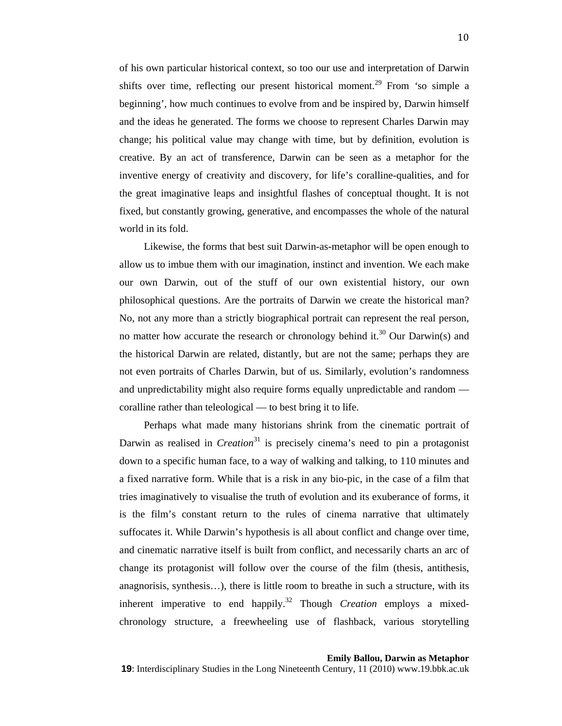of his own particular historical context, so too our use and interpretation of Darwin shifts over time, reflecting our present historical moment.29 From *'*so simple a beginning'*,* how much continues to evolve from and be inspired by, Darwin himself and the ideas he generated. The forms we choose to represent Charles Darwin may change; his political value may change with time, but by definition, evolution is creative. By an act of transference, Darwin can be seen as a metaphor for the inventive energy of creativity and discovery, for life's coralline-qualities, and for the great imaginative leaps and insightful flashes of conceptual thought. It is not fixed, but constantly growing, generative, and encompasses the whole of the natural world in its fold.

Likewise, the forms that best suit Darwin-as-metaphor will be open enough to allow us to imbue them with our imagination, instinct and invention. We each make our own Darwin, out of the stuff of our own existential history, our own philosophical questions. Are the portraits of Darwin we create the historical man? No, not any more than a strictly biographical portrait can represent the real person, no matter how accurate the research or chronology behind it.<sup>30</sup> Our Darwin(s) and the historical Darwin are related, distantly, but are not the same; perhaps they are not even portraits of Charles Darwin, but of us. Similarly, evolution's randomness and unpredictability might also require forms equally unpredictable and random coralline rather than teleological — to best bring it to life.

Perhaps what made many historians shrink from the cinematic portrait of Darwin as realised in *Creation*<sup>31</sup> is precisely cinema's need to pin a protagonist down to a specific human face, to a way of walking and talking, to 110 minutes and a fixed narrative form. While that is a risk in any bio-pic, in the case of a film that tries imaginatively to visualise the truth of evolution and its exuberance of forms, it is the film's constant return to the rules of cinema narrative that ultimately suffocates it. While Darwin's hypothesis is all about conflict and change over time, and cinematic narrative itself is built from conflict, and necessarily charts an arc of change its protagonist will follow over the course of the film (thesis, antithesis, anagnorisis, synthesis…), there is little room to breathe in such a structure, with its inherent imperative to end happily.<sup>32</sup> Though *Creation* employs a mixedchronology structure, a freewheeling use of flashback, various storytelling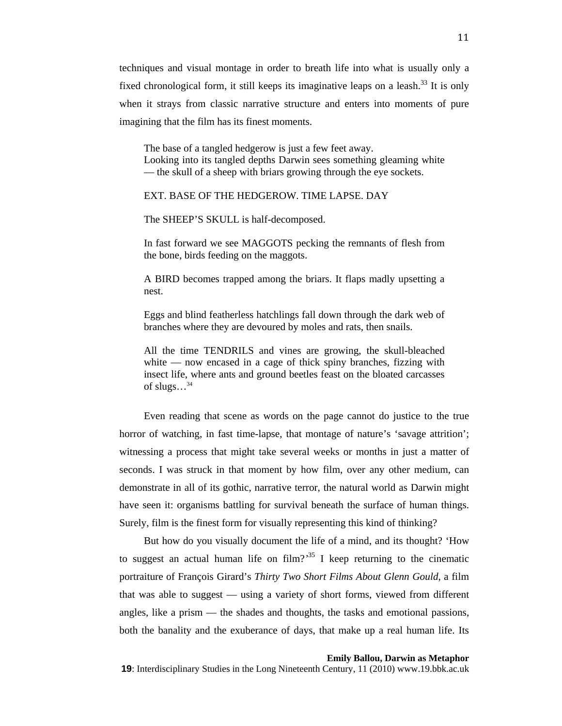techniques and visual montage in order to breath life into what is usually only a fixed chronological form, it still keeps its imaginative leaps on a leash.<sup>33</sup> It is only when it strays from classic narrative structure and enters into moments of pure imagining that the film has its finest moments.

The base of a tangled hedgerow is just a few feet away. Looking into its tangled depths Darwin sees something gleaming white — the skull of a sheep with briars growing through the eye sockets.

# EXT. BASE OF THE HEDGEROW. TIME LAPSE. DAY

The SHEEP'S SKULL is half-decomposed.

In fast forward we see MAGGOTS pecking the remnants of flesh from the bone, birds feeding on the maggots.

A BIRD becomes trapped among the briars. It flaps madly upsetting a nest.

Eggs and blind featherless hatchlings fall down through the dark web of branches where they are devoured by moles and rats, then snails.

All the time TENDRILS and vines are growing, the skull-bleached white — now encased in a cage of thick spiny branches, fizzing with insect life, where ants and ground beetles feast on the bloated carcasses of slugs...<sup>34</sup>

Even reading that scene as words on the page cannot do justice to the true horror of watching, in fast time-lapse, that montage of nature's 'savage attrition'; witnessing a process that might take several weeks or months in just a matter of seconds. I was struck in that moment by how film, over any other medium, can demonstrate in all of its gothic, narrative terror, the natural world as Darwin might have seen it: organisms battling for survival beneath the surface of human things. Surely, film is the finest form for visually representing this kind of thinking?

But how do you visually document the life of a mind, and its thought? 'How to suggest an actual human life on  $\text{film?}^{35}$  I keep returning to the cinematic portraiture of François Girard's *Thirty Two Short Films About Glenn Gould*, a film that was able to suggest — using a variety of short forms, viewed from different angles, like a prism — the shades and thoughts, the tasks and emotional passions, both the banality and the exuberance of days, that make up a real human life. Its

#### **Emily Ballou, Darwin as Metaphor**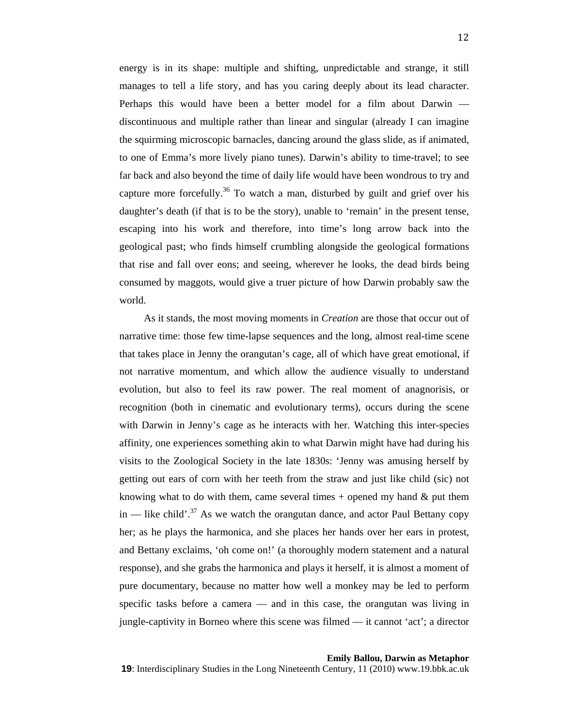energy is in its shape: multiple and shifting, unpredictable and strange, it still manages to tell a life story, and has you caring deeply about its lead character. Perhaps this would have been a better model for a film about Darwin discontinuous and multiple rather than linear and singular (already I can imagine the squirming microscopic barnacles, dancing around the glass slide, as if animated, to one of Emma's more lively piano tunes). Darwin's ability to time-travel; to see far back and also beyond the time of daily life would have been wondrous to try and capture more forcefully.<sup>36</sup> To watch a man, disturbed by guilt and grief over his daughter's death (if that is to be the story), unable to 'remain' in the present tense, escaping into his work and therefore, into time's long arrow back into the geological past; who finds himself crumbling alongside the geological formations that rise and fall over eons; and seeing, wherever he looks, the dead birds being consumed by maggots, would give a truer picture of how Darwin probably saw the world.

As it stands, the most moving moments in *Creation* are those that occur out of narrative time: those few time-lapse sequences and the long, almost real-time scene that takes place in Jenny the orangutan's cage, all of which have great emotional, if not narrative momentum, and which allow the audience visually to understand evolution, but also to feel its raw power. The real moment of anagnorisis, or recognition (both in cinematic and evolutionary terms), occurs during the scene with Darwin in Jenny's cage as he interacts with her. Watching this inter-species affinity, one experiences something akin to what Darwin might have had during his visits to the Zoological Society in the late 1830s: 'Jenny was amusing herself by getting out ears of corn with her teeth from the straw and just like child (sic) not knowing what to do with them, came several times  $+$  opened my hand  $\&$  put them in — like child'.<sup>37</sup> As we watch the orangutan dance, and actor Paul Bettany copy her; as he plays the harmonica, and she places her hands over her ears in protest, and Bettany exclaims, 'oh come on!' (a thoroughly modern statement and a natural response), and she grabs the harmonica and plays it herself, it is almost a moment of pure documentary, because no matter how well a monkey may be led to perform specific tasks before a camera — and in this case, the orangutan was living in jungle-captivity in Borneo where this scene was filmed — it cannot 'act'; a director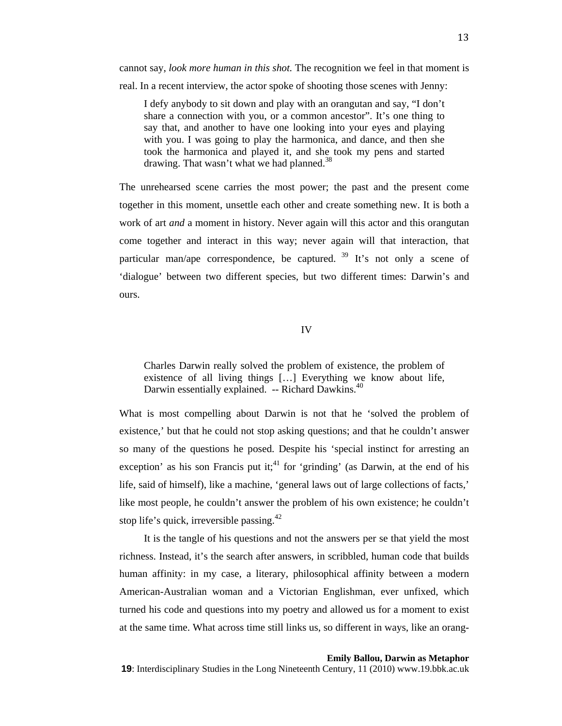cannot say, *look more human in this shot.* The recognition we feel in that moment is

real. In a recent interview, the actor spoke of shooting those scenes with Jenny:

I defy anybody to sit down and play with an orangutan and say, "I don't share a connection with you, or a common ancestor". It's one thing to say that, and another to have one looking into your eyes and playing with you. I was going to play the harmonica, and dance, and then she took the harmonica and played it, and she took my pens and started drawing. That wasn't what we had planned.<sup>38</sup>

The unrehearsed scene carries the most power; the past and the present come together in this moment, unsettle each other and create something new. It is both a work of art *and* a moment in history. Never again will this actor and this orangutan come together and interact in this way; never again will that interaction, that particular man/ape correspondence, be captured.  $39$  It's not only a scene of 'dialogue' between two different species, but two different times: Darwin's and ours.

IV

Charles Darwin really solved the problem of existence, the problem of existence of all living things […] Everything we know about life, Darwin essentially explained. -- Richard Dawkins.<sup>40</sup>

What is most compelling about Darwin is not that he 'solved the problem of existence,' but that he could not stop asking questions; and that he couldn't answer so many of the questions he posed. Despite his 'special instinct for arresting an exception' as his son Francis put it;<sup>41</sup> for 'grinding' (as Darwin, at the end of his life, said of himself), like a machine, 'general laws out of large collections of facts,' like most people, he couldn't answer the problem of his own existence; he couldn't stop life's quick, irreversible passing. $42$ 

It is the tangle of his questions and not the answers per se that yield the most richness. Instead, it's the search after answers, in scribbled, human code that builds human affinity: in my case, a literary, philosophical affinity between a modern American-Australian woman and a Victorian Englishman, ever unfixed, which turned his code and questions into my poetry and allowed us for a moment to exist at the same time. What across time still links us, so different in ways, like an orang-

## **Emily Ballou, Darwin as Metaphor**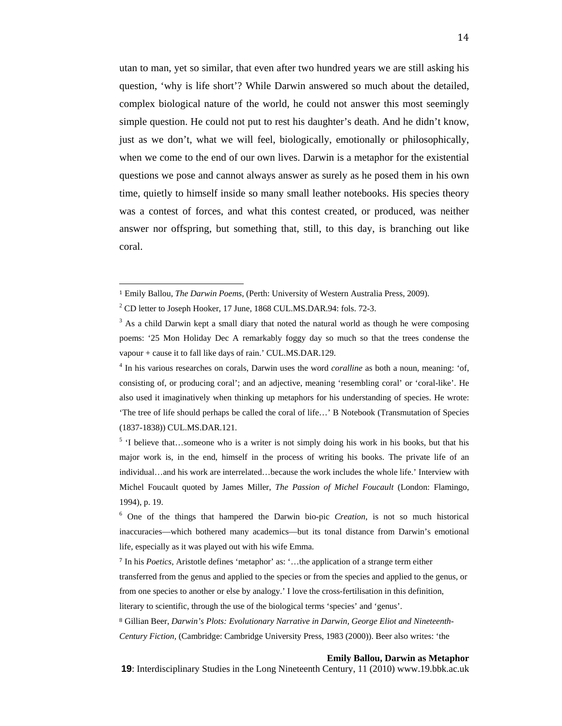utan to man, yet so similar, that even after two hundred years we are still asking his question, 'why is life short'? While Darwin answered so much about the detailed, complex biological nature of the world, he could not answer this most seemingly simple question. He could not put to rest his daughter's death. And he didn't know, just as we don't, what we will feel, biologically, emotionally or philosophically, when we come to the end of our own lives. Darwin is a metaphor for the existential questions we pose and cannot always answer as surely as he posed them in his own time, quietly to himself inside so many small leather notebooks. His species theory was a contest of forces, and what this contest created, or produced, was neither answer nor offspring, but something that, still, to this day, is branching out like coral.

literary to scientific, through the use of the biological terms 'species' and 'genus'.

8 Gillian Beer, *Darwin's Plots: Evolutionary Narrative in Darwin, George Eliot and Nineteenth-Century Fiction,* (Cambridge: Cambridge University Press, 1983 (2000)). Beer also writes: 'the

## **Emily Ballou, Darwin as Metaphor**

<sup>1</sup> Emily Ballou, *The Darwin Poems*, (Perth: University of Western Australia Press, 2009).

 $2^2$  CD letter to Joseph Hooker, 17 June, 1868 CUL.MS.DAR.94: fols. 72-3.

 $3$  As a child Darwin kept a small diary that noted the natural world as though he were composing poems: '25 Mon Holiday Dec A remarkably foggy day so much so that the trees condense the vapour + cause it to fall like days of rain.' CUL.MS.DAR.129.

<sup>&</sup>lt;sup>4</sup> In his various researches on corals, Darwin uses the word *coralline* as both a noun, meaning: 'of, consisting of, or producing coral'; and an adjective, meaning 'resembling coral' or 'coral-like'. He also used it imaginatively when thinking up metaphors for his understanding of species. He wrote: 'The tree of life should perhaps be called the coral of life…' B Notebook (Transmutation of Species (1837-1838)) CUL.MS.DAR.121.

 $<sup>5</sup>$  'I believe that...someone who is a writer is not simply doing his work in his books, but that his</sup> major work is, in the end, himself in the process of writing his books. The private life of an individual…and his work are interrelated…because the work includes the whole life.' Interview with Michel Foucault quoted by James Miller, *The Passion of Michel Foucault* (London: Flamingo, 1994), p. 19.

<sup>6</sup> One of the things that hampered the Darwin bio-pic *Creation*, is not so much historical inaccuracies—which bothered many academics—but its tonal distance from Darwin's emotional life, especially as it was played out with his wife Emma.

<sup>7</sup> In his *Poetics,* Aristotle defines 'metaphor' as: '…the application of a strange term either transferred from the genus and applied to the species or from the species and applied to the genus, or from one species to another or else by analogy.' I love the cross-fertilisation in this definition,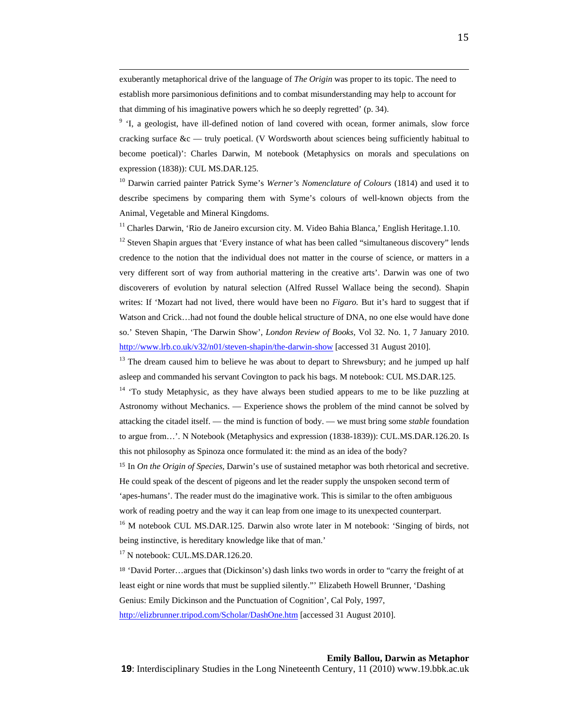exuberantly metaphorical drive of the language of *The Origin* was proper to its topic. The need to establish more parsimonious definitions and to combat misunderstanding may help to account for that dimming of his imaginative powers which he so deeply regretted' (p. 34).

<u> 1989 - Andrea Santa Alemania, poeta esperanto-poeta esperanto-poeta esperanto-poeta esperanto-poeta esperanto-</u>

<sup>9</sup> 'I, a geologist, have ill-defined notion of land covered with ocean, former animals, slow force cracking surface &c — truly poetical. (V Wordsworth about sciences being sufficiently habitual to become poetical)': Charles Darwin, M notebook (Metaphysics on morals and speculations on expression (1838)): CUL MS.DAR.125.

10 Darwin carried painter Patrick Syme's *Werner's Nomenclature of Colours* (1814) and used it to describe specimens by comparing them with Syme's colours of well-known objects from the Animal, Vegetable and Mineral Kingdoms.

<sup>11</sup> Charles Darwin, 'Rio de Janeiro excursion city. M. Video Bahia Blanca,' English Heritage.1.10.

<sup>12</sup> Steven Shapin argues that 'Every instance of what has been called "simultaneous discovery" lends credence to the notion that the individual does not matter in the course of science, or matters in a very different sort of way from authorial mattering in the creative arts'. Darwin was one of two discoverers of evolution by natural selection (Alfred Russel Wallace being the second). Shapin writes: If 'Mozart had not lived, there would have been no *Figaro.* But it's hard to suggest that if Watson and Crick…had not found the double helical structure of DNA, no one else would have done so.' Steven Shapin, 'The Darwin Show', *London Review of Books,* Vol 32. No. 1, 7 January 2010. http://www.lrb.co.uk/v32/n01/steven-shapin/the-darwin-show [accessed 31 August 2010].

 $13$  The dream caused him to believe he was about to depart to Shrewsbury; and he jumped up half asleep and commanded his servant Covington to pack his bags. M notebook: CUL MS.DAR.125.

 $14$  'To study Metaphysic, as they have always been studied appears to me to be like puzzling at Astronomy without Mechanics. — Experience shows the problem of the mind cannot be solved by attacking the citadel itself. — the mind is function of body. — we must bring some *stable* foundation to argue from…'. N Notebook (Metaphysics and expression (1838-1839)): CUL.MS.DAR.126.20. Is this not philosophy as Spinoza once formulated it: the mind as an idea of the body?

<sup>15</sup> In *On the Origin of Species,* Darwin's use of sustained metaphor was both rhetorical and secretive. He could speak of the descent of pigeons and let the reader supply the unspoken second term of 'apes-humans'. The reader must do the imaginative work. This is similar to the often ambiguous work of reading poetry and the way it can leap from one image to its unexpected counterpart.

<sup>16</sup> M notebook CUL MS.DAR.125. Darwin also wrote later in M notebook: 'Singing of birds, not being instinctive, is hereditary knowledge like that of man.'

<sup>17</sup> N notebook: CUL.MS.DAR.126.20.

<sup>18</sup> 'David Porter…argues that (Dickinson's) dash links two words in order to "carry the freight of at least eight or nine words that must be supplied silently."' Elizabeth Howell Brunner, 'Dashing Genius: Emily Dickinson and the Punctuation of Cognition', Cal Poly, 1997,

http://elizbrunner.tripod.com/Scholar/DashOne.htm [accessed 31 August 2010].

## **Emily Ballou, Darwin as Metaphor**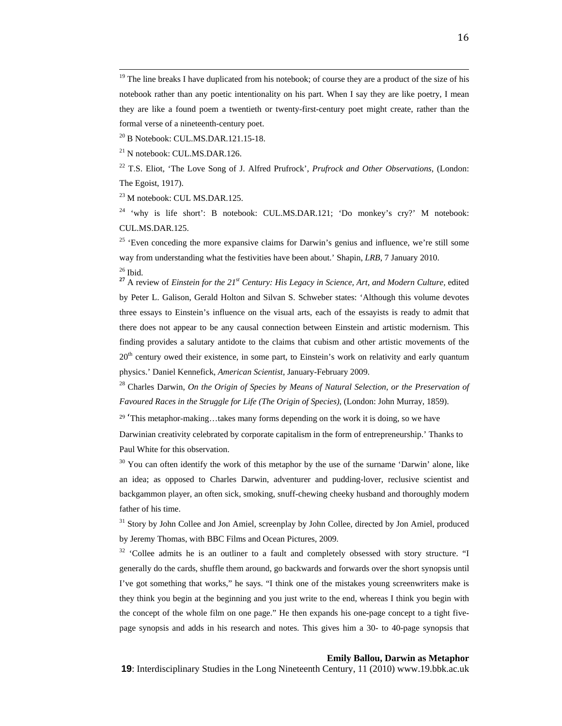<sup>20</sup> B Notebook: CUL.MS.DAR.121.15-18.

<sup>21</sup> N notebook: CUL.MS.DAR.126.

22 T.S. Eliot, 'The Love Song of J. Alfred Prufrock', *Prufrock and Other Observations,* (London: The Egoist, 1917).

23 M notebook: CUL MS.DAR.125.

<sup>24</sup> 'why is life short': B notebook: CUL.MS.DAR.121; 'Do monkey's cry?' M notebook: CUL.MS.DAR.125.

<sup>25</sup> 'Even conceding the more expansive claims for Darwin's genius and influence, we're still some way from understanding what the festivities have been about.' Shapin, *LRB*, 7 January 2010.  $26$  Ibid.

**<sup>27</sup>** A review of *Einstein for the 21st Century: His Legacy in Science, Art, and Modern Culture,* edited by Peter L. Galison, Gerald Holton and Silvan S. Schweber states: 'Although this volume devotes three essays to Einstein's influence on the visual arts, each of the essayists is ready to admit that there does not appear to be any causal connection between Einstein and artistic modernism. This finding provides a salutary antidote to the claims that cubism and other artistic movements of the  $20<sup>th</sup>$  century owed their existence, in some part, to Einstein's work on relativity and early quantum physics.' Daniel Kennefick, *American Scientist*, January-February 2009.

28 Charles Darwin, *On the Origin of Species by Means of Natural Selection, or the Preservation of Favoured Races in the Struggle for Life (The Origin of Species)*, (London: John Murray, 1859).

 $29$  'This metaphor-making...takes many forms depending on the work it is doing, so we have

Darwinian creativity celebrated by corporate capitalism in the form of entrepreneurship.' Thanks to Paul White for this observation.

 $30$  You can often identify the work of this metaphor by the use of the surname 'Darwin' alone, like an idea; as opposed to Charles Darwin, adventurer and pudding-lover, reclusive scientist and backgammon player, an often sick, smoking, snuff-chewing cheeky husband and thoroughly modern father of his time.

<sup>31</sup> Story by John Collee and Jon Amiel, screenplay by John Collee, directed by Jon Amiel, produced by Jeremy Thomas, with BBC Films and Ocean Pictures, 2009.

<sup>32</sup> 'Collee admits he is an outliner to a fault and completely obsessed with story structure. "I generally do the cards, shuffle them around, go backwards and forwards over the short synopsis until I've got something that works," he says. "I think one of the mistakes young screenwriters make is they think you begin at the beginning and you just write to the end, whereas I think you begin with the concept of the whole film on one page." He then expands his one-page concept to a tight fivepage synopsis and adds in his research and notes. This gives him a 30- to 40-page synopsis that

# **Emily Ballou, Darwin as Metaphor**

<sup>&</sup>lt;sup>19</sup> The line breaks I have duplicated from his notebook; of course they are a product of the size of his notebook rather than any poetic intentionality on his part. When I say they are like poetry, I mean they are like a found poem a twentieth or twenty-first-century poet might create, rather than the formal verse of a nineteenth-century poet.